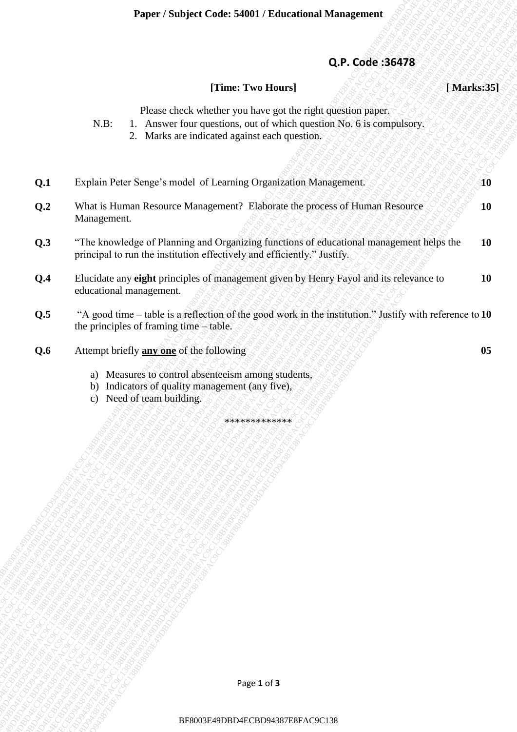## **Q.P. Code :36478**

#### **[Time: Two Hours] [ Marks:35]**

- N.B: 1. Answer four questions, out of which question No. 6 is compulsory.
	- 2. Marks are indicated against each question.

|     | Q.P. Code: 36478                                                                                                                                                                                |               |
|-----|-------------------------------------------------------------------------------------------------------------------------------------------------------------------------------------------------|---------------|
|     | [Time: Two Hours]                                                                                                                                                                               | [Marks:35]    |
|     | Please check whether you have got the right question paper.<br>1. Answer four questions, out of which question No. 6 is compulsory.<br>$N.B$ :<br>2. Marks are indicated against each question. |               |
| Q.1 | Explain Peter Senge's model of Learning Organization Management.                                                                                                                                | $\mathbf{10}$ |
| Q.2 | What is Human Resource Management? Elaborate the process of Human Resource<br>Management.                                                                                                       | <b>10</b>     |
| Q.3 | "The knowledge of Planning and Organizing functions of educational management helps the<br>principal to run the institution effectively and efficiently." Justify.                              | <b>10</b>     |
| Q.4 | Elucidate any eight principles of management given by Henry Fayol and its relevance to<br>educational management.                                                                               | <b>10</b>     |
| Q.5 | "A good time – table is a reflection of the good work in the institution." Justify with reference to 10<br>the principles of framing time - table.                                              |               |
| Q.6 | Attempt briefly <b>any one</b> of the following                                                                                                                                                 | 05            |
|     | a) Measures to control absenteeism among students,<br>b) Indicators of quality management (any five),<br>c) Need of team building.                                                              |               |
|     | *************                                                                                                                                                                                   |               |
|     |                                                                                                                                                                                                 |               |
|     |                                                                                                                                                                                                 |               |
|     |                                                                                                                                                                                                 |               |
|     |                                                                                                                                                                                                 |               |
|     |                                                                                                                                                                                                 |               |
|     |                                                                                                                                                                                                 |               |
|     |                                                                                                                                                                                                 |               |
|     |                                                                                                                                                                                                 |               |
|     |                                                                                                                                                                                                 |               |
|     |                                                                                                                                                                                                 |               |
|     | Page 1 of 3                                                                                                                                                                                     |               |
|     | BF8003E49DBD4ECBD94387E8FAC9C138                                                                                                                                                                |               |

- b) Indicators of quality management (any five),
- c) Need of team building.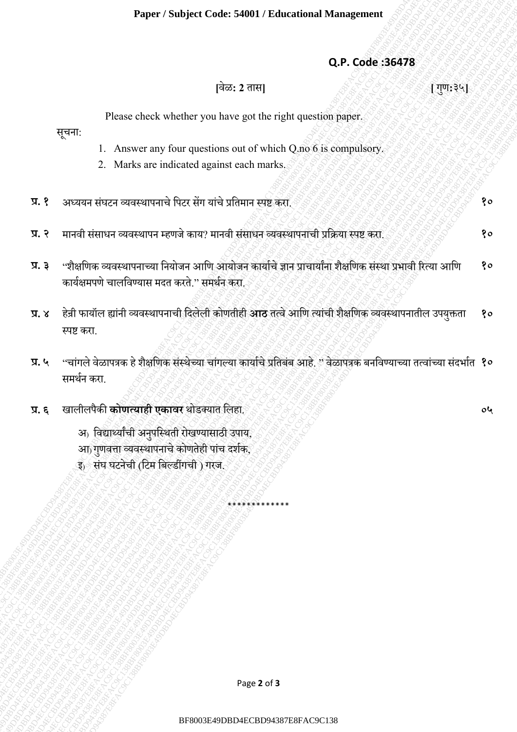#### **Q.P. Code :36478**

# **[**वेळ**: 2** तास**] [** गणु**:**३५**]**

**०५**

Please check whether you have got the right question paper.

सचूना:

- 1. Answer any four questions out of which Q.no 6 is compulsory.
- 2. Marks are indicated against each marks.
- **प्र. १** अध्ययन संघटन व्यवस्थापनाचेपपटर सेंग यांचेप्रपतमान स्पष्ट करा. **१०**
- **प्र. २** मानवी संसाधन व्यवस्थापन म्हणजेकाय? मानवी संसाधन व्यवस्थापनाची प्रपिया स्पष्ट करा. **१०**
- **प्र. ३** "शैक्षपणक व्यवस्थापनाच्या पनयोजन आपण आयोजन कायााचे ज्ञान प्राचायाांना शक्षै पणक संस्था प्रभावी ररत्या आपण कार्यक्षमपणे चालविण्यास मदत करते " समर्थन करा **१०**
- EPAC2 EARS<br>
RF802 EARST<br>
Price chock whether you have get the right quastion paper.<br>
T. A harke an velocities paint can be whether the paper of the computers.<br>
2. Marks are understore applies that when the set of the compu FRBP812 CLARE SAMPUT FRBCESAER DIRENT TRINGERED (SPAC)<br>
PERCETTE REPORT OF THE CRIME OF THE CHANNEL SURFACE CONTROL CONTROL CONTROL CONTROL CONTROL CONTROL CONTROL CONTROL CONTROL CONTROL CONTROL CONTROL CONTROL CONTROL CO Phper / Smbler Cade: 54801 / Educational Vinnagement<br>
Q.P. Code: 38978<br>
Picture chock whether you have got the right questions pape.<br>
474 Picture chock whether you have got the right questions pape.<br>
1. Anover any inverse Face / Subject Code: 6400 / Schwarianal Management<br>  $\begin{aligned} \mathbf{Q}, \mathbf{P}, \mathbf{C}, \mathbf{O} & \mathbf{d} \in \mathbb{R}^{2} \mathbb{R}^{2} \mathbb{R}^{2} \mathbb{R}^{2} \mathbb{R}^{2} \mathbb{R}^{2} \mathbb{R}^{2} \mathbb{R}^{2} \mathbb{R}^{2} \mathbb{R}^{2} \mathbb{R}^{2} \mathbb{R}^{2} \mathbb{R}^{2} \mathbb{R}^{2} \mathbb{$ **Proper: Subject Code: 54001: Educational Management Q.P. Code: 36478**<br>  $\frac{1}{17}\pi/2$ <br>  $\frac{1}{5}$ <br>  $\frac{1}{5}$ <br>  $\frac{1}{5}$ <br>  $\frac{1}{5}$ <br>  $\frac{1}{5}$ <br>  $\frac{1}{5}$ <br>  $\frac{1}{5}$ <br>  $\frac{1}{5}$ <br>  $\frac{1}{5}$ <br>  $\frac{1}{5}$ <br>  $\frac{1}{5}$ <br>  $\frac{1}{5}$ <br>  $\$ Paper / Subject Code: 54903 Educational Management<br>
Q.P. Code: 36978<br>
Face<br>  $\frac{1}{2}$ Clear chart where you have gone on the field space on the field<br>
Text.<br>
1. Among any that spaces on the field space of the approximation Paper / Subject Code: 54801 / Folosalonal Vianagement<br>
9. P. Code: 543478<br>
(Pass: class she may four questions out of their det or in the completions)<br>
1. Amount any four questions out of their det or in the completions)<br> Paper / Subject Code: 54801 / Folosalonal Vianagement<br>
9. P. Code: 543478<br>
(Pass: class she may four questions out of their det or in the completions)<br>
1. Amount any four questions out of their det or in the completions)<br> Paper / Subject Code: 54801 / Folosalonal Vianagement<br>
9. P. Code: 543478<br>
(Pass: class she may four questions out of their det or in the completions)<br>
1. Amount any four questions out of their det or in the completions)<br> Paper / Subject Code: 54801 / Folosalonal Vianagement<br>
9. P. Code: 543478<br>
(Pass: class she may four questions out of their det or in the completions)<br>
1. Amount any four questions out of their det or in the completions)<br> Paper / Subject Code: 54801 / Folosalonal Vianagement<br>
9. P. Code: 543478<br>
(Pass: class she may four questions out of their det or in the completions)<br>
1. Amount any four questions out of their det or in the completions)<br> Paper / Subject Code: 54801 / Folosalonal Vianagement<br>
9. P. Code: 543478<br>
(Pass: class she may four questions out of their det or in the completions)<br>
1. Amount any four questions out of their det or in the completions)<br> Paper / Subject Code: 54001 / Educational Management<br>
Q.P. Code 3647E<br>
Face circle whether you have got the right question point.<br>  $\frac{1}{2}$ A.B. Correlations and the substitute of the state of a completely.<br>
2. Mathematic **Proper: Subject Code: 44001 / Educational Management**<br>
Q.P. Code: 3867F8<br>  $[19939]$ <br>  $\frac{1}{3}$ <br>  $\frac{1}{3}$ <br>  $\frac{1}{3}$ <br>  $\frac{1}{3}$ <br>  $\frac{1}{3}$ <br>  $\frac{1}{3}$ <br>  $\frac{1}{3}$ <br>  $\frac{1}{3}$ <br>  $\frac{1}{3}$ <br>  $\frac{1}{3}$ <br>  $\frac{1}{3}$ <br>  $\frac{1}{3}$ <br>  $\frac$ Paper / Subject Code: 54001 / Educational Management<br>  $Q,P$ . Code: 35678<br>  $|33\%$ <br>
Please chock where you have see the right question paper<br>
THET.<br>
2. Marks are included against each orthographs.<br>
2. Marks are included aga **Exper / Subject Code: 54003/ Educational Management**<br> **CDP. Code: 36478**<br> **FRS: 2 FRS**<br> **PECA:**<br> **PECA:**<br> **PECA:**<br> **PECA:**<br> **PECA:**<br> **Exact and whenever any four quantities of the sight quantity is experimented.**<br> **2.** Paper / Notiject Code: 54801 / Educational Management<br>  $B_zP$ . Code: 56478<br>  $\frac{1}{12}$ PEcac chock whether you have got the right question paper.<br>
Please chock whether you have got the right question paper.<br>  $\frac{1}{2}$  Mexic Paper / Statjart Crais: 540011 / Educational Management (PPEP)<br>  $\frac{1}{2}$ Passe clock whether you have get the right operation paper.<br>  $\frac{1}{2}$ Passe clock whether you have get the right operation paper.<br>
2. Made are influ Paper / Subject Code: 5480 / Fabruational Management<br>
Q.P. Code: 35478<br>  $[29:3^2]$ <br>  $[29:3^2]$ <br>  $[29:3^2]$ <br>  $[29:3^2]$ <br>  $[29:3^2]$ <br>  $[29:3^2]$ <br>  $[29:3^2]$ <br>  $[29:3^2]$ <br>  $[29:3^2]$ <br>  $[29:3^2]$ <br>  $[29:3^2]$ <br>  $[29:3^2]$ <br>  $[29:$ Paper / Subject Code: 54901 / Educational Management<br>
Q.P. Code: 36478<br>  $\frac{1}{17}$ <br>  $\frac{1}{17}$ <br>  $\frac{1}{17}$ <br>  $\frac{1}{17}$ <br>  $\frac{1}{17}$ <br>  $\frac{1}{17}$ <br>  $\frac{1}{17}$ <br>  $\frac{1}{17}$ <br>  $\frac{1}{17}$ <br>  $\frac{1}{17}$ <br>  $\frac{1}{17}$ <br>  $\frac{1}{17}$ <br>  $\frac{1$ **प्र. ४** हेन्री फायॉल ह्ांनी व्यवस्थापनाची पदलेली कोणतीही **आठ** तत्वेआपण त्यांची शक्षै पणक व्यवस्थापनातील उपयक्तु ता स्पष्ट करा. **१०**
	- <mark>प्र. ५</mark> ''चांगले वेळापत्रक हे शैक्षणिक संस्थेच्या चांगल्या कार्याचे प्रतिबंब आहे. '' वेळापत्रक बनविण्याच्या तत्वांच्या संदर्भात **१०** समर्थन करा

\*\*\*\*\*\*\*\*\*\*\*\*\*

- **प्र. ६** खालीलपैकी **कोणत्याही एकावर** थोडक्यात पलहा.
	- अ) पवद्यार्थयाांची अनपुपस्थती रोखण्यासाठी उपाय,
	- आ) गुणवत्ता व्यवस्थापनाचे कोणतेही पांच दर्शक,
	- इ) संघ घटनेची (पटम पबल्डींगची ) गरज.

Page **2** of **3**